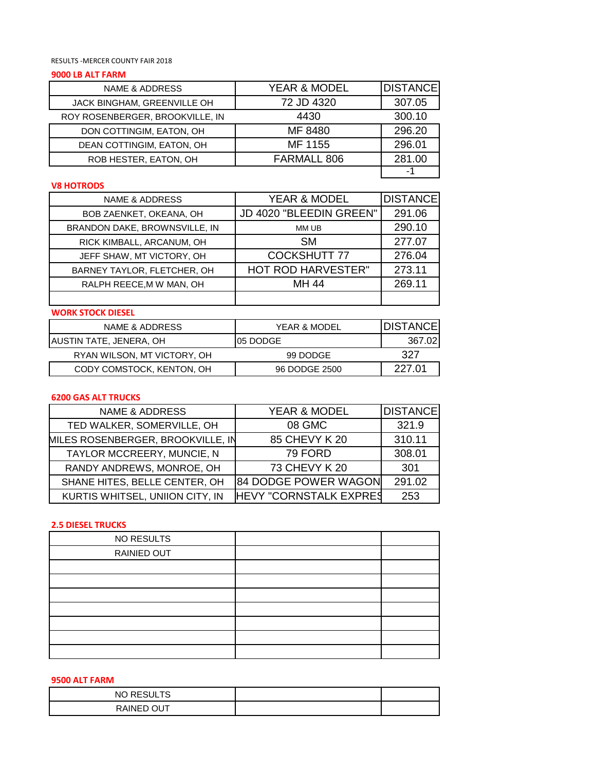RESULTS -MERCER COUNTY FAIR 2018

### **9000 LB ALT FARM**

| NAME & ADDRESS                  | <b>YEAR &amp; MODEL</b> | <b>DISTANCE</b> |
|---------------------------------|-------------------------|-----------------|
| JACK BINGHAM, GREENVILLE OH     | 72 JD 4320              | 307.05          |
| ROY ROSENBERGER, BROOKVILLE, IN | 4430                    | 300.10          |
| DON COTTINGIM, EATON, OH        | MF 8480                 | 296.20          |
| DEAN COTTINGIM, EATON, OH       | MF 1155                 | 296.01          |
| ROB HESTER, EATON, OH           | FARMALL 806             | 281.00          |
|                                 |                         |                 |

## **V8 HOTRODS**

| <b>NAME &amp; ADDRESS</b>     | YEAR & MODEL              | <b>DISTANCE</b> |
|-------------------------------|---------------------------|-----------------|
| BOB ZAENKET, OKEANA, OH       | JD 4020 "BLEEDIN GREEN"   | 291.06          |
| BRANDON DAKE, BROWNSVILLE, IN | MM UB                     | 290.10          |
| RICK KIMBALL, ARCANUM, OH     | <b>SM</b>                 | 277.07          |
| JEFF SHAW, MT VICTORY, OH     | <b>COCKSHUTT 77</b>       | 276.04          |
| BARNEY TAYLOR, FLETCHER, OH   | <b>HOT ROD HARVESTER"</b> | 273.11          |
| RALPH REECE, M W MAN, OH      | MH 44                     | 269.11          |
|                               |                           |                 |

# **WORK STOCK DIESEL**

| NAME & ADDRESS              | YEAR & MODEL  | IDISTANCE |
|-----------------------------|---------------|-----------|
| AUSTIN TATE, JENERA, OH     | 105 DODGE     | 367.02    |
| RYAN WILSON, MT VICTORY, OH | 99 DODGE      | 327       |
| CODY COMSTOCK, KENTON, OH   | 96 DODGE 2500 | 227 Q1    |

## **6200 GAS ALT TRUCKS**

| <b>NAME &amp; ADDRESS</b>         | YEAR & MODEL                  | <b>DISTANCE</b> |
|-----------------------------------|-------------------------------|-----------------|
| TED WALKER, SOMERVILLE, OH        | 08 GMC                        | 321.9           |
| MILES ROSENBERGER, BROOKVILLE, IN | 85 CHEVY K 20                 | 310.11          |
| TAYLOR MCCREERY, MUNCIE, N        | 79 FORD                       | 308.01          |
| RANDY ANDREWS, MONROE, OH         | 73 CHEVY K 20                 | 301             |
| SHANE HITES, BELLE CENTER, OH     | <b>84 DODGE POWER WAGON</b>   | 291.02          |
| KURTIS WHITSEL, UNIION CITY, IN   | <b>HEVY "CORNSTALK EXPRES</b> | 253             |

#### **2.5 DIESEL TRUCKS**

# **9500 ALT FARM**

| NO RESULTS |  |
|------------|--|
| RAINED OUT |  |